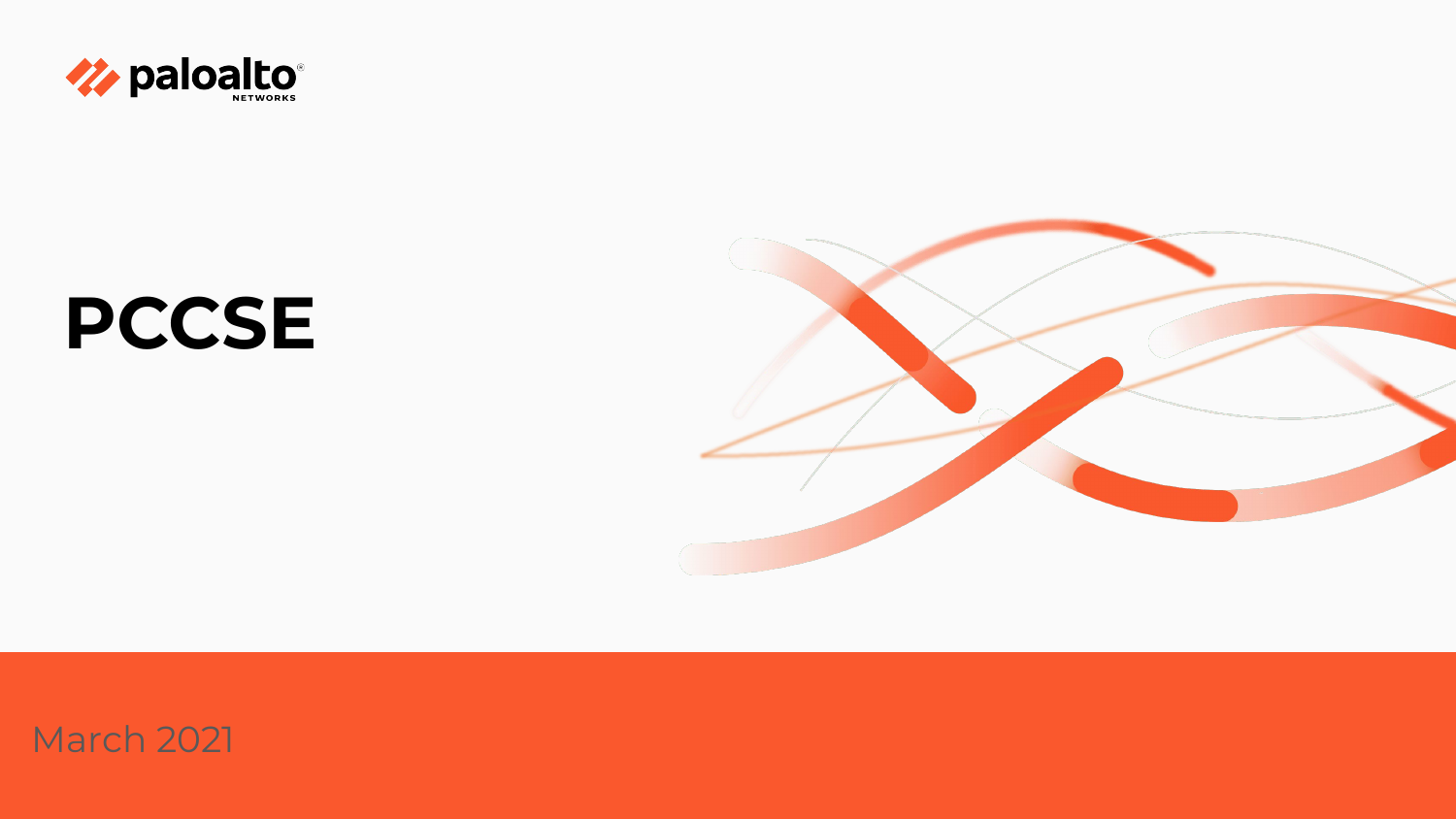

# **PCCSE**



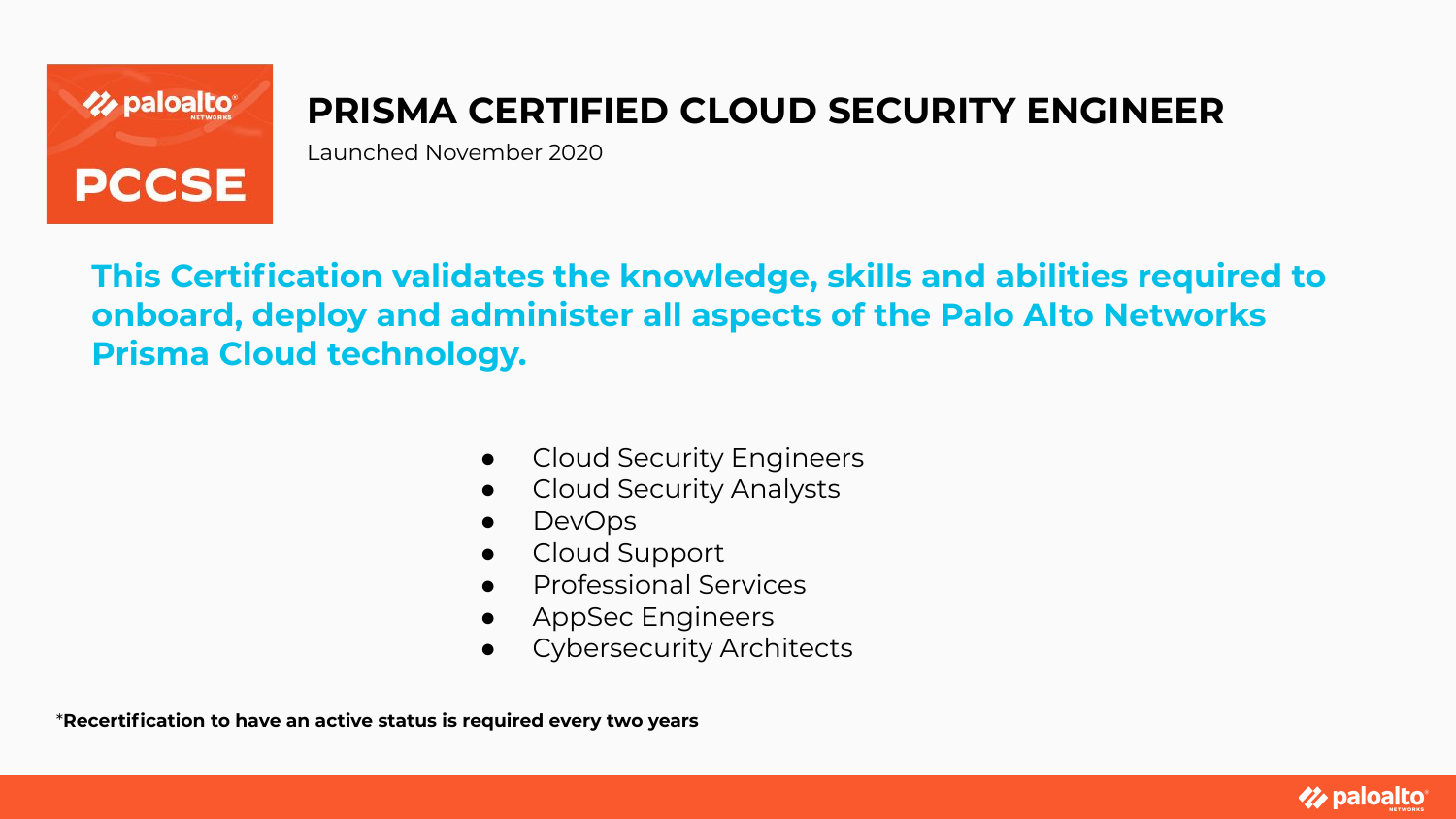

## **PRISMA CERTIFIED CLOUD SECURITY ENGINEER**

Launched November 2020

**This Certification validates the knowledge, skills and abilities required to onboard, deploy and administer all aspects of the Palo Alto Networks Prisma Cloud technology.**

- **Cloud Security Engineers**
- Cloud Security Analysts
- DevOps
- Cloud Support
- Professional Services
- AppSec Engineers
- **Cybersecurity Architects**

\***Recertification to have an active status is required every two years**

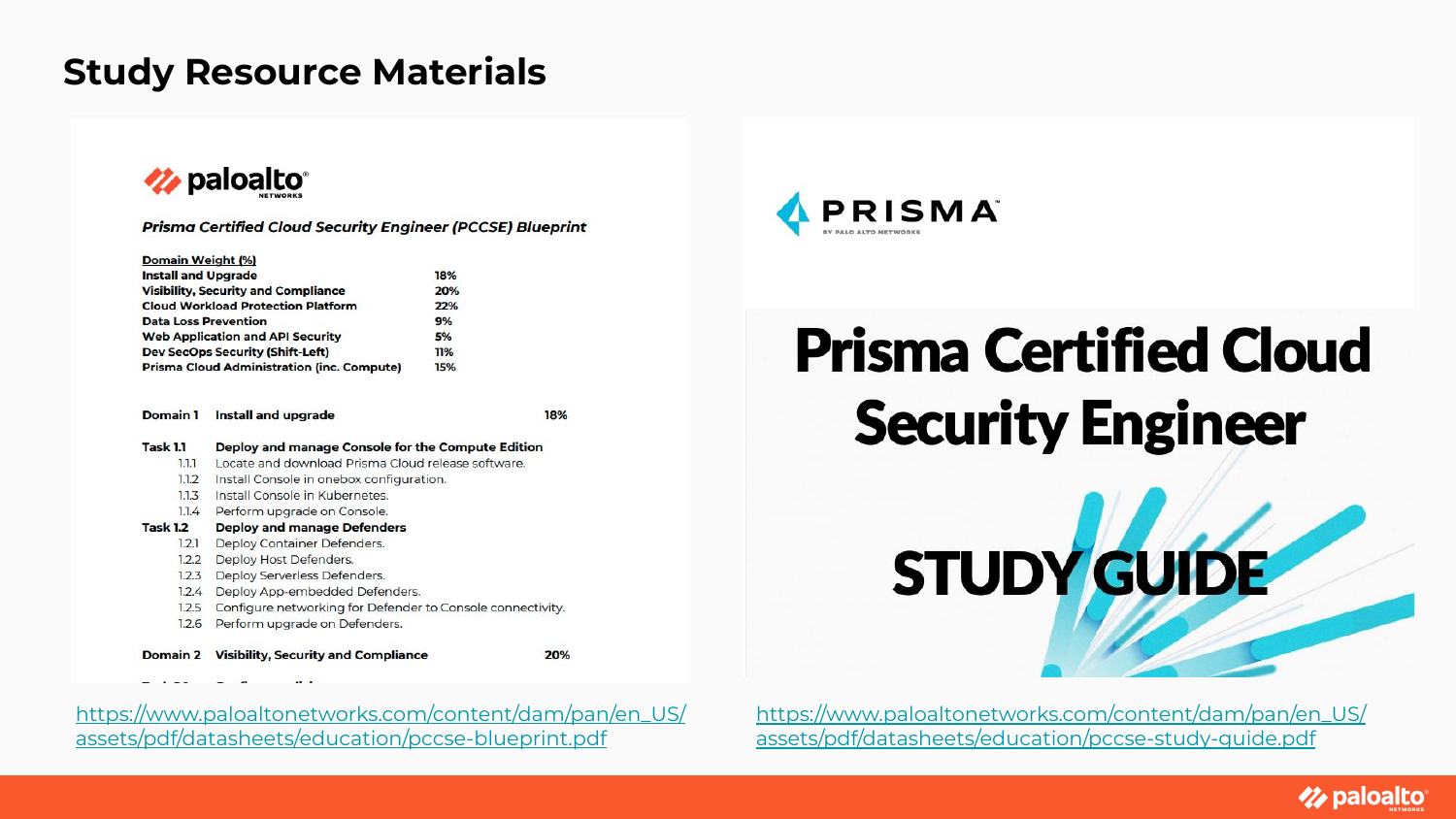### **Study Resource Materials**



| <b>Prisma Certified Cloud Security Engineer (PCCSE) Blueprint</b> |  |  |  |  |  |  |  |
|-------------------------------------------------------------------|--|--|--|--|--|--|--|
|-------------------------------------------------------------------|--|--|--|--|--|--|--|

| <b>Domain Weight (%</b> |  |  |
|-------------------------|--|--|
|-------------------------|--|--|

| <b>Install and Upgrade</b>                        | 18% |
|---------------------------------------------------|-----|
| <b>Visibility, Security and Compliance</b>        | 20% |
| <b>Cloud Workload Protection Platform</b>         | 22% |
| <b>Data Loss Prevention</b>                       | 9%  |
| <b>Web Application and API Security</b>           | 5%  |
| <b>Dev SecOps Security (Shift-Left)</b>           | 11% |
| <b>Prisma Cloud Administration (inc. Compute)</b> | 15% |

Domain 1 Install and upgrade

18%

**Task 1.1** Deploy and manage Console for the Compute Edition 1.1.1 Locate and download Prisma Cloud release software. 1.1.2 Install Console in onebox configuration. 1.1.3 Install Console in Kubernetes. 1.1.4 Perform upgrade on Console. **Task 1.2 Deploy and manage Defenders** 1.2.1 Deploy Container Defenders. 1.2.2 Deploy Host Defenders. 1.2.3 Deploy Serverless Defenders. 1.2.4 Deploy App-embedded Defenders. 1.2.5 Configure networking for Defender to Console connectivity 1.2.6 Perform upgrade on Defenders. Domain 2 Visibility, Security and Compliance 20%

[https://www.paloaltonetworks.com/content/dam/pan/en\\_US/](https://www.paloaltonetworks.com/content/dam/pan/en_US/assets/pdf/datasheets/education/pccse-blueprint.pdf) [assets/pdf/datasheets/education/pccse-blueprint.pdf](https://www.paloaltonetworks.com/content/dam/pan/en_US/assets/pdf/datasheets/education/pccse-blueprint.pdf)



# **Prisma Certified Cloud Security Engineer**

STUDY GUIDE

[https://www.paloaltonetworks.com/content/dam/pan/en\\_US/](https://www.paloaltonetworks.com/content/dam/pan/en_US/assets/pdf/datasheets/education/pccse-study-guide.pdf) [assets/pdf/datasheets/education/pccse-study-guide.pdf](https://www.paloaltonetworks.com/content/dam/pan/en_US/assets/pdf/datasheets/education/pccse-study-guide.pdf)

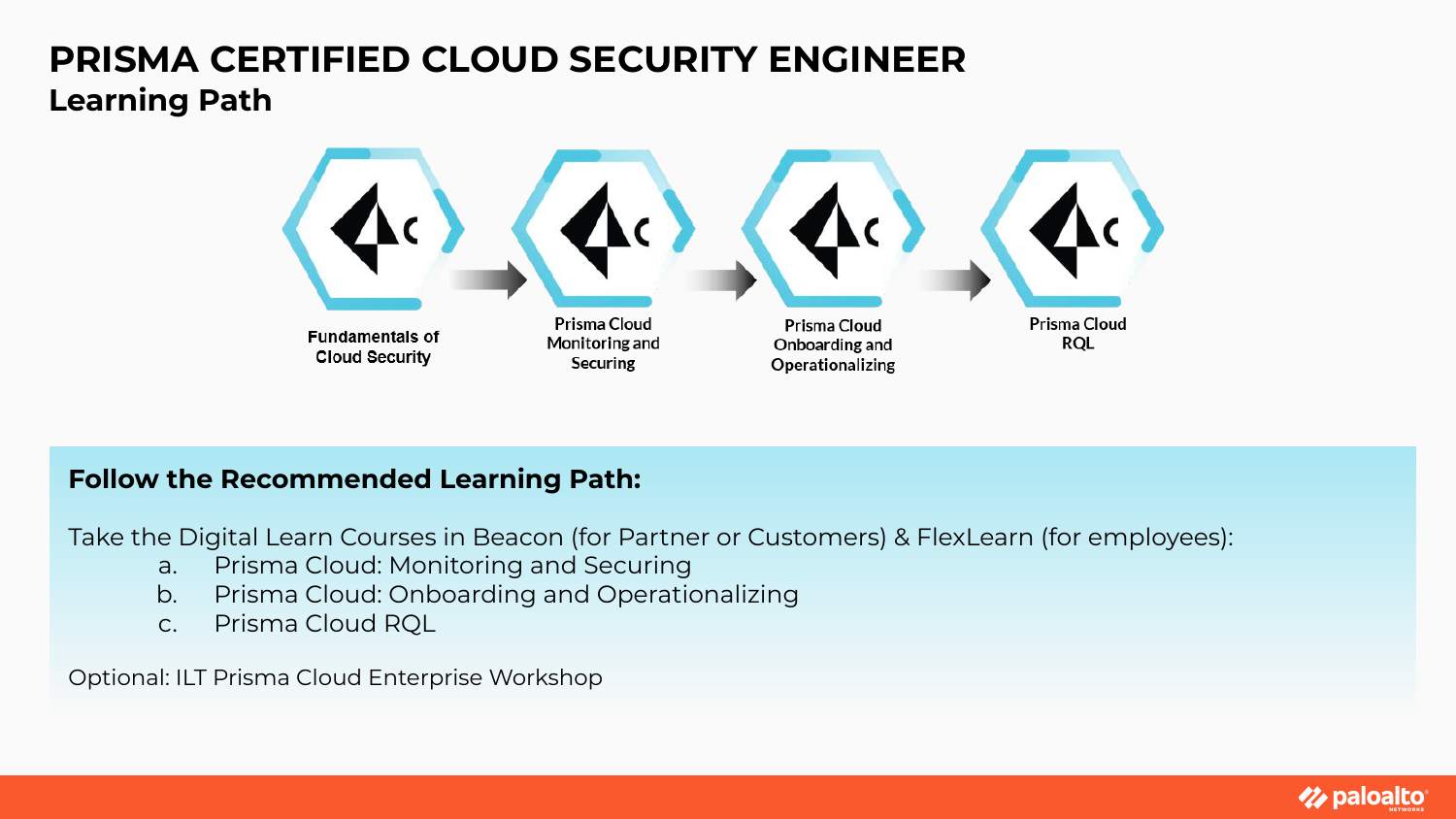### **PRISMA CERTIFIED CLOUD SECURITY ENGINEER Learning Path**



#### **Follow the Recommended Learning Path:**

Take the Digital Learn Courses in Beacon (for Partner or Customers) & FlexLearn (for employees):

- a. Prisma Cloud: Monitoring and Securing
- b. Prisma Cloud: Onboarding and Operationalizing
- c. Prisma Cloud RQL

Optional: ILT Prisma Cloud Enterprise Workshop

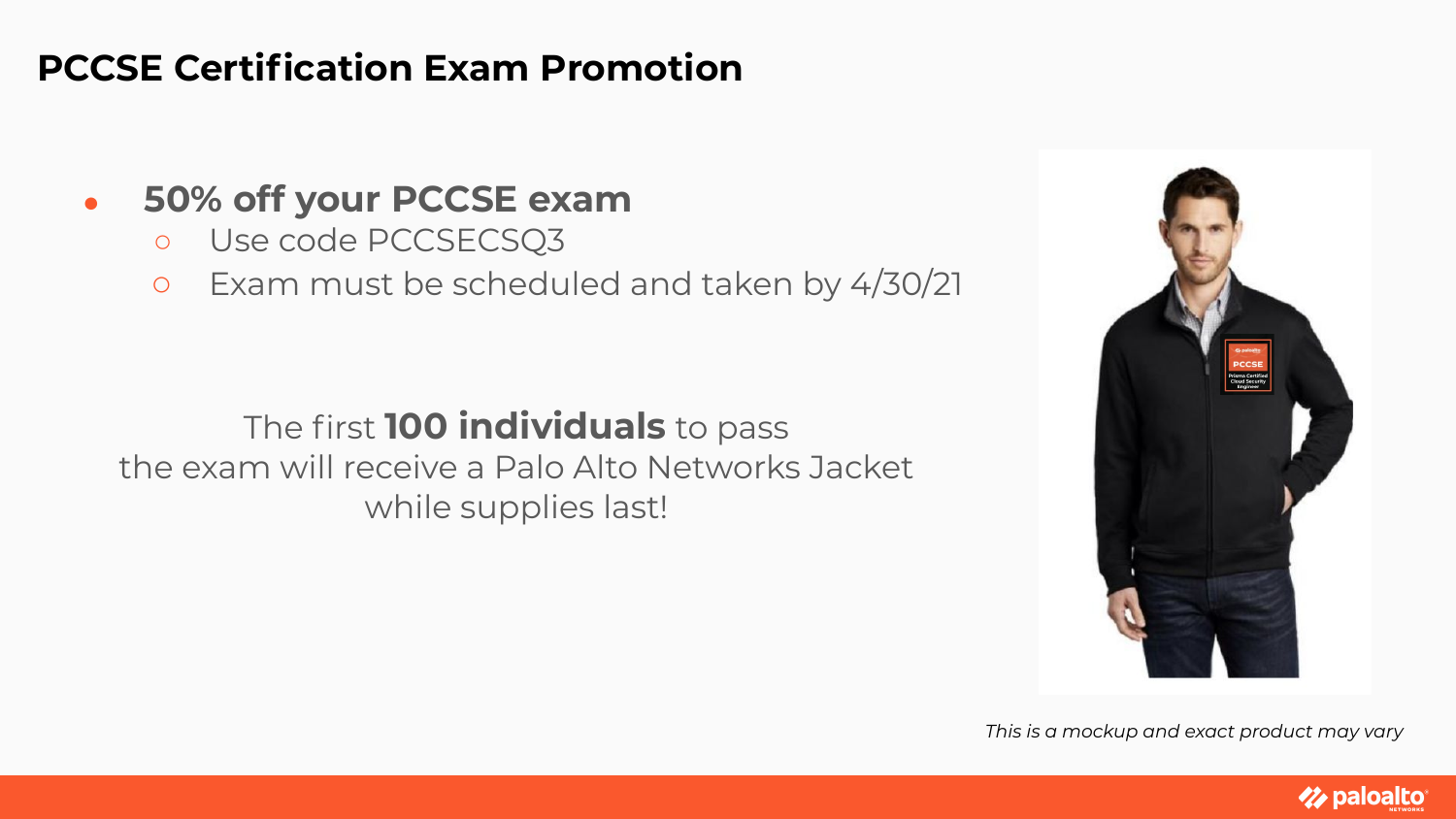## **PCCSE Certification Exam Promotion**

## ● **50% off your PCCSE exam**

- Use code PCCSECSQ3
- Exam must be scheduled and taken by 4/30/21

## The first **100 individuals** to pass

the exam will receive a Palo Alto Networks Jacket while supplies last!



*This is a mockup and exact product may vary*